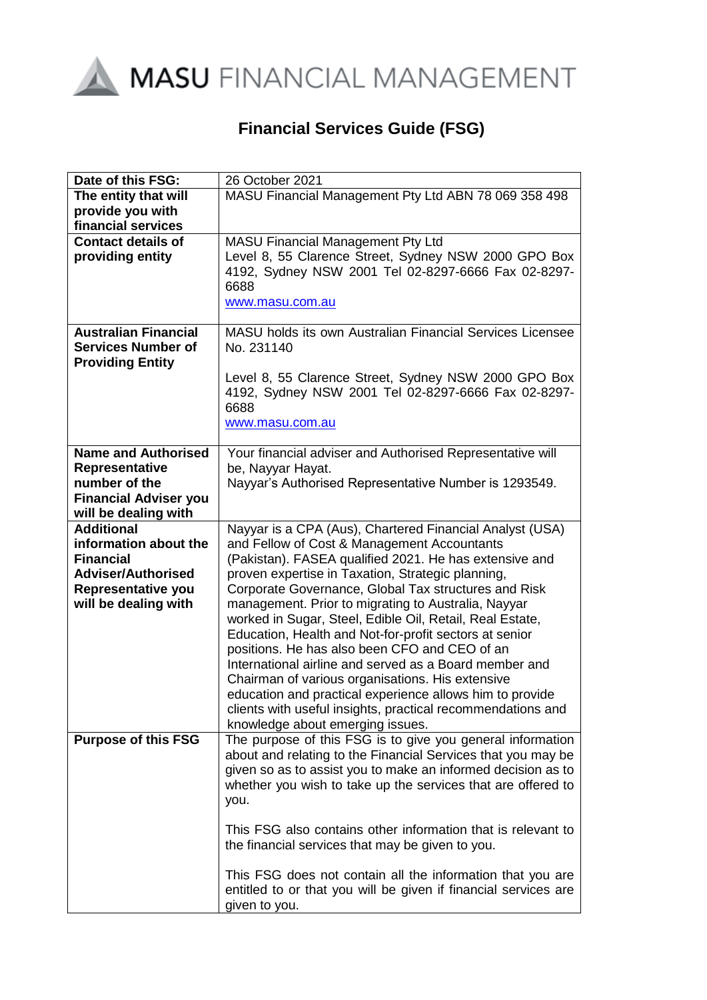

# **Financial Services Guide (FSG)**

| Date of this FSG:                                                                                                                         | 26 October 2021                                                                                                                                                                                                                                                                                                                                                                                                                                                                                                                                                                                                                                                                                                                                                                           |
|-------------------------------------------------------------------------------------------------------------------------------------------|-------------------------------------------------------------------------------------------------------------------------------------------------------------------------------------------------------------------------------------------------------------------------------------------------------------------------------------------------------------------------------------------------------------------------------------------------------------------------------------------------------------------------------------------------------------------------------------------------------------------------------------------------------------------------------------------------------------------------------------------------------------------------------------------|
| The entity that will                                                                                                                      | MASU Financial Management Pty Ltd ABN 78 069 358 498                                                                                                                                                                                                                                                                                                                                                                                                                                                                                                                                                                                                                                                                                                                                      |
| provide you with                                                                                                                          |                                                                                                                                                                                                                                                                                                                                                                                                                                                                                                                                                                                                                                                                                                                                                                                           |
| financial services                                                                                                                        |                                                                                                                                                                                                                                                                                                                                                                                                                                                                                                                                                                                                                                                                                                                                                                                           |
| <b>Contact details of</b><br>providing entity                                                                                             | MASU Financial Management Pty Ltd<br>Level 8, 55 Clarence Street, Sydney NSW 2000 GPO Box<br>4192, Sydney NSW 2001 Tel 02-8297-6666 Fax 02-8297-<br>6688<br>www.masu.com.au                                                                                                                                                                                                                                                                                                                                                                                                                                                                                                                                                                                                               |
| <b>Australian Financial</b><br><b>Services Number of</b><br><b>Providing Entity</b><br><b>Name and Authorised</b>                         | MASU holds its own Australian Financial Services Licensee<br>No. 231140<br>Level 8, 55 Clarence Street, Sydney NSW 2000 GPO Box<br>4192, Sydney NSW 2001 Tel 02-8297-6666 Fax 02-8297-<br>6688<br>www.masu.com.au                                                                                                                                                                                                                                                                                                                                                                                                                                                                                                                                                                         |
| <b>Representative</b><br>number of the<br><b>Financial Adviser you</b><br>will be dealing with                                            | Your financial adviser and Authorised Representative will<br>be, Nayyar Hayat.<br>Nayyar's Authorised Representative Number is 1293549.                                                                                                                                                                                                                                                                                                                                                                                                                                                                                                                                                                                                                                                   |
| <b>Additional</b><br>information about the<br><b>Financial</b><br><b>Adviser/Authorised</b><br>Representative you<br>will be dealing with | Nayyar is a CPA (Aus), Chartered Financial Analyst (USA)<br>and Fellow of Cost & Management Accountants<br>(Pakistan). FASEA qualified 2021. He has extensive and<br>proven expertise in Taxation, Strategic planning,<br>Corporate Governance, Global Tax structures and Risk<br>management. Prior to migrating to Australia, Nayyar<br>worked in Sugar, Steel, Edible Oil, Retail, Real Estate,<br>Education, Health and Not-for-profit sectors at senior<br>positions. He has also been CFO and CEO of an<br>International airline and served as a Board member and<br>Chairman of various organisations. His extensive<br>education and practical experience allows him to provide<br>clients with useful insights, practical recommendations and<br>knowledge about emerging issues. |
| <b>Purpose of this FSG</b>                                                                                                                | The purpose of this FSG is to give you general information<br>about and relating to the Financial Services that you may be<br>given so as to assist you to make an informed decision as to<br>whether you wish to take up the services that are offered to<br>you.<br>This FSG also contains other information that is relevant to<br>the financial services that may be given to you.<br>This FSG does not contain all the information that you are<br>entitled to or that you will be given if financial services are<br>given to you.                                                                                                                                                                                                                                                  |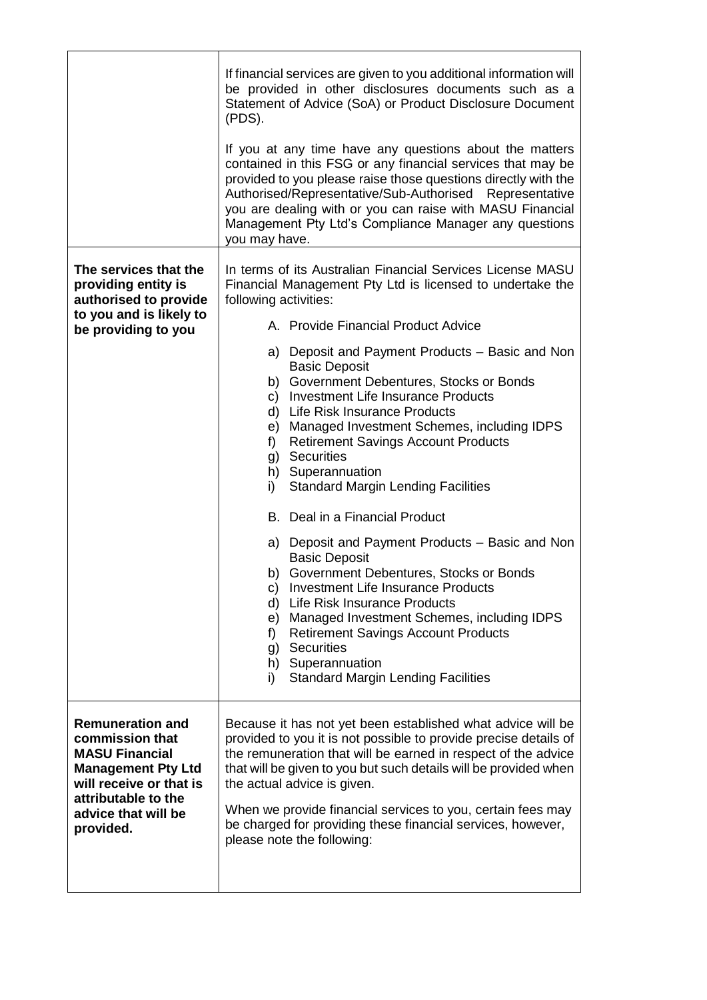|                                                                                                                                                                                        | If financial services are given to you additional information will<br>be provided in other disclosures documents such as a<br>Statement of Advice (SoA) or Product Disclosure Document<br>(PDS).<br>If you at any time have any questions about the matters                                                                                                                                                                                                     |
|----------------------------------------------------------------------------------------------------------------------------------------------------------------------------------------|-----------------------------------------------------------------------------------------------------------------------------------------------------------------------------------------------------------------------------------------------------------------------------------------------------------------------------------------------------------------------------------------------------------------------------------------------------------------|
|                                                                                                                                                                                        | contained in this FSG or any financial services that may be<br>provided to you please raise those questions directly with the<br>Authorised/Representative/Sub-Authorised Representative<br>you are dealing with or you can raise with MASU Financial<br>Management Pty Ltd's Compliance Manager any questions<br>you may have.                                                                                                                                 |
| The services that the<br>providing entity is<br>authorised to provide                                                                                                                  | In terms of its Australian Financial Services License MASU<br>Financial Management Pty Ltd is licensed to undertake the<br>following activities:                                                                                                                                                                                                                                                                                                                |
| to you and is likely to<br>be providing to you                                                                                                                                         | A. Provide Financial Product Advice                                                                                                                                                                                                                                                                                                                                                                                                                             |
|                                                                                                                                                                                        | a) Deposit and Payment Products - Basic and Non<br><b>Basic Deposit</b><br>b) Government Debentures, Stocks or Bonds<br>Investment Life Insurance Products<br>C)<br>Life Risk Insurance Products<br>d)<br>Managed Investment Schemes, including IDPS<br>e)<br><b>Retirement Savings Account Products</b><br>f)<br><b>Securities</b><br>g)<br>h) Superannuation<br><b>Standard Margin Lending Facilities</b><br>i)<br>B. Deal in a Financial Product             |
|                                                                                                                                                                                        | a) Deposit and Payment Products - Basic and Non<br><b>Basic Deposit</b><br>b) Government Debentures, Stocks or Bonds<br>c) Investment Life Insurance Products<br>Life Risk Insurance Products<br>d)<br>Managed Investment Schemes, including IDPS<br>e)<br><b>Retirement Savings Account Products</b><br>f)<br><b>Securities</b><br>g)<br>h) Superannuation<br><b>Standard Margin Lending Facilities</b><br>i)                                                  |
| <b>Remuneration and</b><br>commission that<br><b>MASU Financial</b><br><b>Management Pty Ltd</b><br>will receive or that is<br>attributable to the<br>advice that will be<br>provided. | Because it has not yet been established what advice will be<br>provided to you it is not possible to provide precise details of<br>the remuneration that will be earned in respect of the advice<br>that will be given to you but such details will be provided when<br>the actual advice is given.<br>When we provide financial services to you, certain fees may<br>be charged for providing these financial services, however,<br>please note the following: |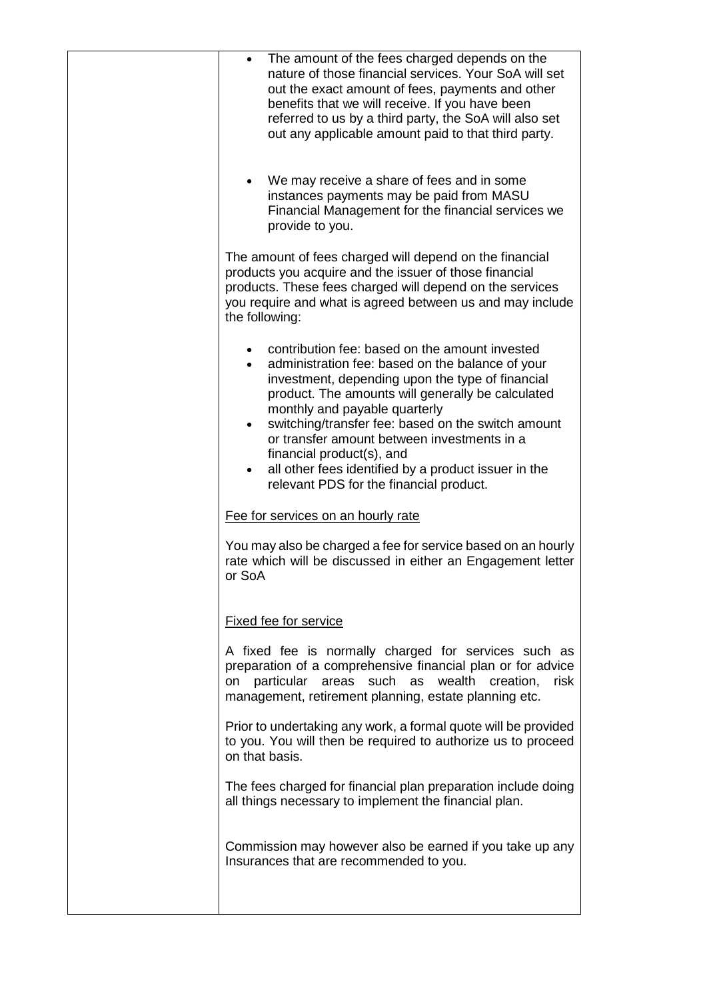| The amount of the fees charged depends on the<br>$\bullet$<br>nature of those financial services. Your SoA will set<br>out the exact amount of fees, payments and other<br>benefits that we will receive. If you have been<br>referred to us by a third party, the SoA will also set<br>out any applicable amount paid to that third party.                                                                                                                                                    |
|------------------------------------------------------------------------------------------------------------------------------------------------------------------------------------------------------------------------------------------------------------------------------------------------------------------------------------------------------------------------------------------------------------------------------------------------------------------------------------------------|
| We may receive a share of fees and in some<br>$\bullet$<br>instances payments may be paid from MASU<br>Financial Management for the financial services we<br>provide to you.                                                                                                                                                                                                                                                                                                                   |
| The amount of fees charged will depend on the financial<br>products you acquire and the issuer of those financial<br>products. These fees charged will depend on the services<br>you require and what is agreed between us and may include<br>the following:                                                                                                                                                                                                                                   |
| contribution fee: based on the amount invested<br>administration fee: based on the balance of your<br>investment, depending upon the type of financial<br>product. The amounts will generally be calculated<br>monthly and payable quarterly<br>switching/transfer fee: based on the switch amount<br>$\bullet$<br>or transfer amount between investments in a<br>financial product(s), and<br>all other fees identified by a product issuer in the<br>relevant PDS for the financial product. |
| Fee for services on an hourly rate                                                                                                                                                                                                                                                                                                                                                                                                                                                             |
| You may also be charged a fee for service based on an hourly<br>rate which will be discussed in either an Engagement letter<br>or SoA                                                                                                                                                                                                                                                                                                                                                          |
| <b>Fixed fee for service</b>                                                                                                                                                                                                                                                                                                                                                                                                                                                                   |
| A fixed fee is normally charged for services such as<br>preparation of a comprehensive financial plan or for advice<br>particular areas such as<br>wealth creation,<br>risk<br>on<br>management, retirement planning, estate planning etc.                                                                                                                                                                                                                                                     |
| Prior to undertaking any work, a formal quote will be provided<br>to you. You will then be required to authorize us to proceed<br>on that basis.                                                                                                                                                                                                                                                                                                                                               |
| The fees charged for financial plan preparation include doing<br>all things necessary to implement the financial plan.                                                                                                                                                                                                                                                                                                                                                                         |
| Commission may however also be earned if you take up any<br>Insurances that are recommended to you.                                                                                                                                                                                                                                                                                                                                                                                            |
|                                                                                                                                                                                                                                                                                                                                                                                                                                                                                                |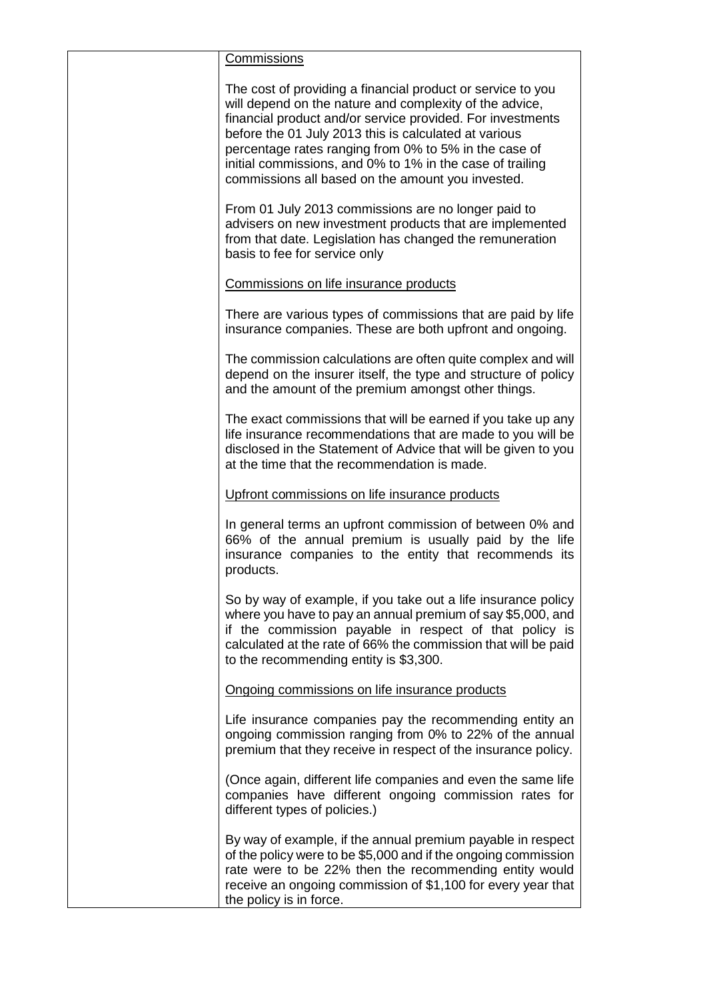| <b>Commissions</b>                                                                                                                                                                                                                                                                                                                                                                                                       |
|--------------------------------------------------------------------------------------------------------------------------------------------------------------------------------------------------------------------------------------------------------------------------------------------------------------------------------------------------------------------------------------------------------------------------|
| The cost of providing a financial product or service to you<br>will depend on the nature and complexity of the advice,<br>financial product and/or service provided. For investments<br>before the 01 July 2013 this is calculated at various<br>percentage rates ranging from 0% to 5% in the case of<br>initial commissions, and 0% to 1% in the case of trailing<br>commissions all based on the amount you invested. |
| From 01 July 2013 commissions are no longer paid to<br>advisers on new investment products that are implemented<br>from that date. Legislation has changed the remuneration<br>basis to fee for service only                                                                                                                                                                                                             |
| Commissions on life insurance products                                                                                                                                                                                                                                                                                                                                                                                   |
| There are various types of commissions that are paid by life<br>insurance companies. These are both upfront and ongoing.                                                                                                                                                                                                                                                                                                 |
| The commission calculations are often quite complex and will<br>depend on the insurer itself, the type and structure of policy<br>and the amount of the premium amongst other things.                                                                                                                                                                                                                                    |
| The exact commissions that will be earned if you take up any<br>life insurance recommendations that are made to you will be<br>disclosed in the Statement of Advice that will be given to you<br>at the time that the recommendation is made.                                                                                                                                                                            |
| Upfront commissions on life insurance products                                                                                                                                                                                                                                                                                                                                                                           |
| In general terms an upfront commission of between 0% and<br>66% of the annual premium is usually paid by the life<br>insurance companies to the entity that recommends its<br>products.                                                                                                                                                                                                                                  |
| So by way of example, if you take out a life insurance policy<br>where you have to pay an annual premium of say \$5,000, and<br>if the commission payable in respect of that policy is<br>calculated at the rate of 66% the commission that will be paid<br>to the recommending entity is \$3,300.                                                                                                                       |
| Ongoing commissions on life insurance products                                                                                                                                                                                                                                                                                                                                                                           |
| Life insurance companies pay the recommending entity an<br>ongoing commission ranging from 0% to 22% of the annual<br>premium that they receive in respect of the insurance policy.                                                                                                                                                                                                                                      |
| (Once again, different life companies and even the same life<br>companies have different ongoing commission rates for<br>different types of policies.)                                                                                                                                                                                                                                                                   |
| By way of example, if the annual premium payable in respect<br>of the policy were to be \$5,000 and if the ongoing commission<br>rate were to be 22% then the recommending entity would<br>receive an ongoing commission of \$1,100 for every year that<br>the policy is in force.                                                                                                                                       |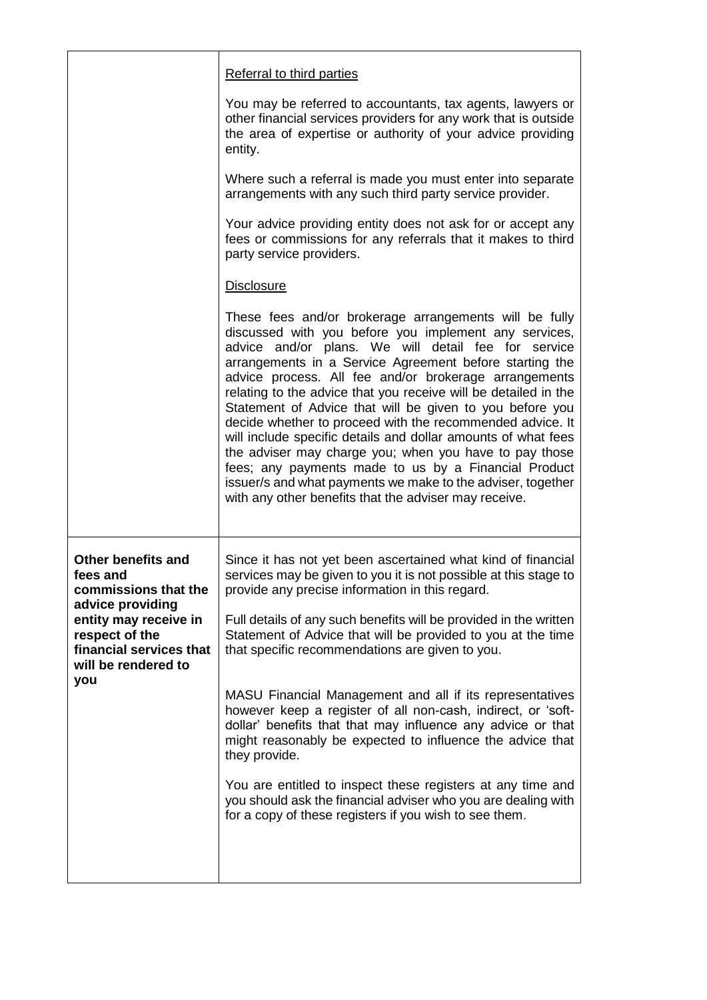|                                                                                                                      | Referral to third parties                                                                                                                                                                                                                                                                                                                                                                                                                                                                                                                                                                                                                                                                                                                                                                         |
|----------------------------------------------------------------------------------------------------------------------|---------------------------------------------------------------------------------------------------------------------------------------------------------------------------------------------------------------------------------------------------------------------------------------------------------------------------------------------------------------------------------------------------------------------------------------------------------------------------------------------------------------------------------------------------------------------------------------------------------------------------------------------------------------------------------------------------------------------------------------------------------------------------------------------------|
|                                                                                                                      | You may be referred to accountants, tax agents, lawyers or<br>other financial services providers for any work that is outside<br>the area of expertise or authority of your advice providing<br>entity.                                                                                                                                                                                                                                                                                                                                                                                                                                                                                                                                                                                           |
|                                                                                                                      | Where such a referral is made you must enter into separate<br>arrangements with any such third party service provider.                                                                                                                                                                                                                                                                                                                                                                                                                                                                                                                                                                                                                                                                            |
|                                                                                                                      | Your advice providing entity does not ask for or accept any<br>fees or commissions for any referrals that it makes to third<br>party service providers.                                                                                                                                                                                                                                                                                                                                                                                                                                                                                                                                                                                                                                           |
|                                                                                                                      | <b>Disclosure</b>                                                                                                                                                                                                                                                                                                                                                                                                                                                                                                                                                                                                                                                                                                                                                                                 |
|                                                                                                                      | These fees and/or brokerage arrangements will be fully<br>discussed with you before you implement any services,<br>advice and/or plans. We will detail fee for service<br>arrangements in a Service Agreement before starting the<br>advice process. All fee and/or brokerage arrangements<br>relating to the advice that you receive will be detailed in the<br>Statement of Advice that will be given to you before you<br>decide whether to proceed with the recommended advice. It<br>will include specific details and dollar amounts of what fees<br>the adviser may charge you; when you have to pay those<br>fees; any payments made to us by a Financial Product<br>issuer/s and what payments we make to the adviser, together<br>with any other benefits that the adviser may receive. |
| <b>Other benefits and</b><br>fees and<br>commissions that the                                                        | Since it has not yet been ascertained what kind of financial<br>services may be given to you it is not possible at this stage to<br>provide any precise information in this regard.                                                                                                                                                                                                                                                                                                                                                                                                                                                                                                                                                                                                               |
| advice providing<br>entity may receive in<br>respect of the<br>financial services that<br>will be rendered to<br>you | Full details of any such benefits will be provided in the written<br>Statement of Advice that will be provided to you at the time<br>that specific recommendations are given to you.                                                                                                                                                                                                                                                                                                                                                                                                                                                                                                                                                                                                              |
|                                                                                                                      | MASU Financial Management and all if its representatives<br>however keep a register of all non-cash, indirect, or 'soft-<br>dollar' benefits that that may influence any advice or that<br>might reasonably be expected to influence the advice that<br>they provide.                                                                                                                                                                                                                                                                                                                                                                                                                                                                                                                             |
|                                                                                                                      | You are entitled to inspect these registers at any time and<br>you should ask the financial adviser who you are dealing with<br>for a copy of these registers if you wish to see them.                                                                                                                                                                                                                                                                                                                                                                                                                                                                                                                                                                                                            |
|                                                                                                                      |                                                                                                                                                                                                                                                                                                                                                                                                                                                                                                                                                                                                                                                                                                                                                                                                   |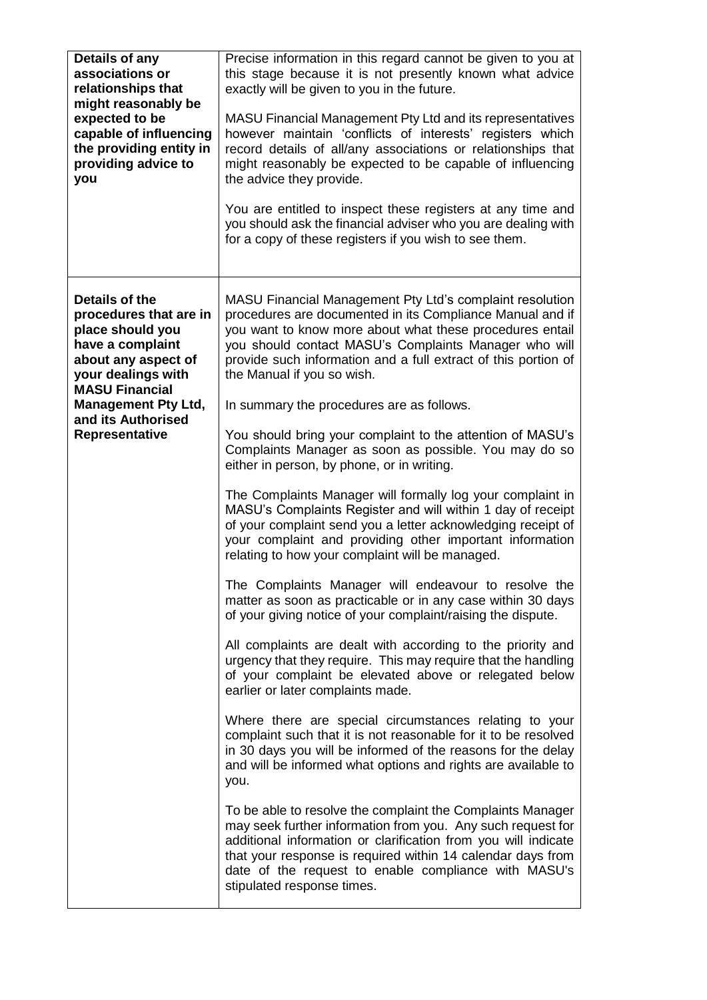| Details of any<br>associations or<br>relationships that<br>might reasonably be<br>expected to be<br>capable of influencing<br>the providing entity in<br>providing advice to<br>you                                          | Precise information in this regard cannot be given to you at<br>this stage because it is not presently known what advice<br>exactly will be given to you in the future.<br>MASU Financial Management Pty Ltd and its representatives<br>however maintain 'conflicts of interests' registers which<br>record details of all/any associations or relationships that<br>might reasonably be expected to be capable of influencing<br>the advice they provide.<br>You are entitled to inspect these registers at any time and<br>you should ask the financial adviser who you are dealing with<br>for a copy of these registers if you wish to see them.                                                                                                                                                                                                                                                                                                                                                                                                                                                                                                                                                                                                                                                                                                                                                                                                                                                                                                                |
|------------------------------------------------------------------------------------------------------------------------------------------------------------------------------------------------------------------------------|---------------------------------------------------------------------------------------------------------------------------------------------------------------------------------------------------------------------------------------------------------------------------------------------------------------------------------------------------------------------------------------------------------------------------------------------------------------------------------------------------------------------------------------------------------------------------------------------------------------------------------------------------------------------------------------------------------------------------------------------------------------------------------------------------------------------------------------------------------------------------------------------------------------------------------------------------------------------------------------------------------------------------------------------------------------------------------------------------------------------------------------------------------------------------------------------------------------------------------------------------------------------------------------------------------------------------------------------------------------------------------------------------------------------------------------------------------------------------------------------------------------------------------------------------------------------|
| Details of the<br>procedures that are in<br>place should you<br>have a complaint<br>about any aspect of<br>your dealings with<br><b>MASU Financial</b><br><b>Management Pty Ltd,</b><br>and its Authorised<br>Representative | MASU Financial Management Pty Ltd's complaint resolution<br>procedures are documented in its Compliance Manual and if<br>you want to know more about what these procedures entail<br>you should contact MASU's Complaints Manager who will<br>provide such information and a full extract of this portion of<br>the Manual if you so wish.<br>In summary the procedures are as follows.<br>You should bring your complaint to the attention of MASU's<br>Complaints Manager as soon as possible. You may do so<br>either in person, by phone, or in writing.<br>The Complaints Manager will formally log your complaint in<br>MASU's Complaints Register and will within 1 day of receipt<br>of your complaint send you a letter acknowledging receipt of<br>your complaint and providing other important information<br>relating to how your complaint will be managed.<br>The Complaints Manager will endeavour to resolve the<br>matter as soon as practicable or in any case within 30 days<br>of your giving notice of your complaint/raising the dispute.<br>All complaints are dealt with according to the priority and<br>urgency that they require. This may require that the handling<br>of your complaint be elevated above or relegated below<br>earlier or later complaints made.<br>Where there are special circumstances relating to your<br>complaint such that it is not reasonable for it to be resolved<br>in 30 days you will be informed of the reasons for the delay<br>and will be informed what options and rights are available to<br>you. |
|                                                                                                                                                                                                                              | To be able to resolve the complaint the Complaints Manager<br>may seek further information from you. Any such request for<br>additional information or clarification from you will indicate<br>that your response is required within 14 calendar days from<br>date of the request to enable compliance with MASU's<br>stipulated response times.                                                                                                                                                                                                                                                                                                                                                                                                                                                                                                                                                                                                                                                                                                                                                                                                                                                                                                                                                                                                                                                                                                                                                                                                                    |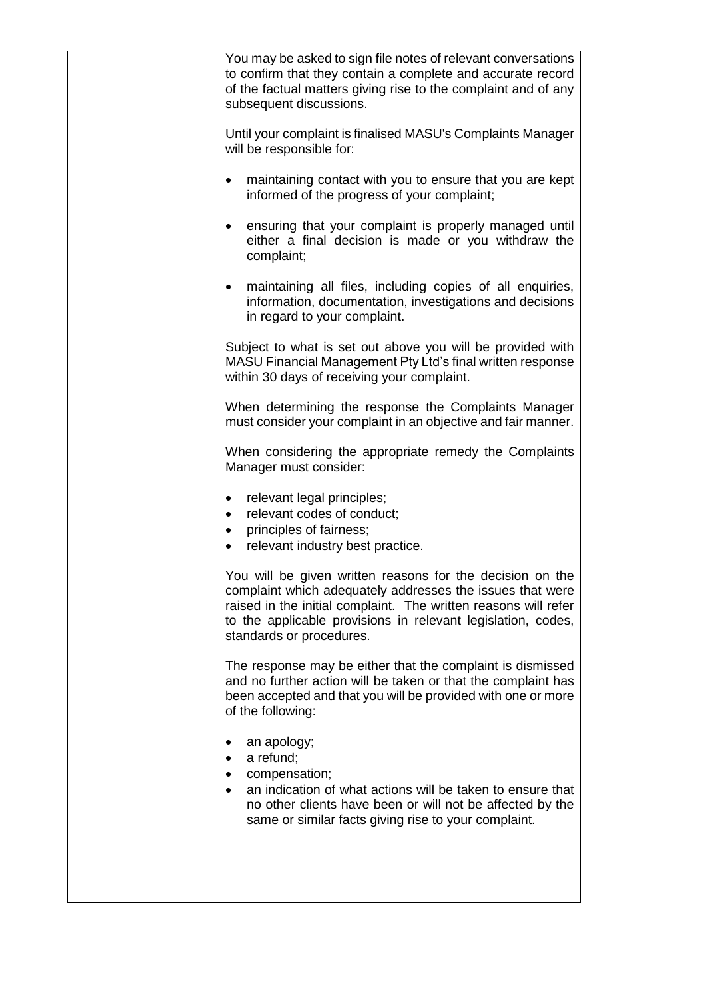| You may be asked to sign file notes of relevant conversations<br>to confirm that they contain a complete and accurate record<br>of the factual matters giving rise to the complaint and of any<br>subsequent discussions.                                                             |
|---------------------------------------------------------------------------------------------------------------------------------------------------------------------------------------------------------------------------------------------------------------------------------------|
| Until your complaint is finalised MASU's Complaints Manager<br>will be responsible for:                                                                                                                                                                                               |
| maintaining contact with you to ensure that you are kept<br>٠<br>informed of the progress of your complaint;                                                                                                                                                                          |
| ensuring that your complaint is properly managed until<br>either a final decision is made or you withdraw the<br>complaint;                                                                                                                                                           |
| maintaining all files, including copies of all enquiries,<br>information, documentation, investigations and decisions<br>in regard to your complaint.                                                                                                                                 |
| Subject to what is set out above you will be provided with<br>MASU Financial Management Pty Ltd's final written response<br>within 30 days of receiving your complaint.                                                                                                               |
| When determining the response the Complaints Manager<br>must consider your complaint in an objective and fair manner.                                                                                                                                                                 |
| When considering the appropriate remedy the Complaints<br>Manager must consider:                                                                                                                                                                                                      |
| relevant legal principles;<br>$\bullet$<br>relevant codes of conduct;<br>principles of fairness;<br>relevant industry best practice.<br>$\bullet$                                                                                                                                     |
| You will be given written reasons for the decision on the<br>complaint which adequately addresses the issues that were<br>raised in the initial complaint. The written reasons will refer<br>to the applicable provisions in relevant legislation, codes,<br>standards or procedures. |
| The response may be either that the complaint is dismissed<br>and no further action will be taken or that the complaint has<br>been accepted and that you will be provided with one or more<br>of the following:                                                                      |
| an apology;<br>a refund;<br>compensation;<br>an indication of what actions will be taken to ensure that<br>no other clients have been or will not be affected by the<br>same or similar facts giving rise to your complaint.                                                          |
|                                                                                                                                                                                                                                                                                       |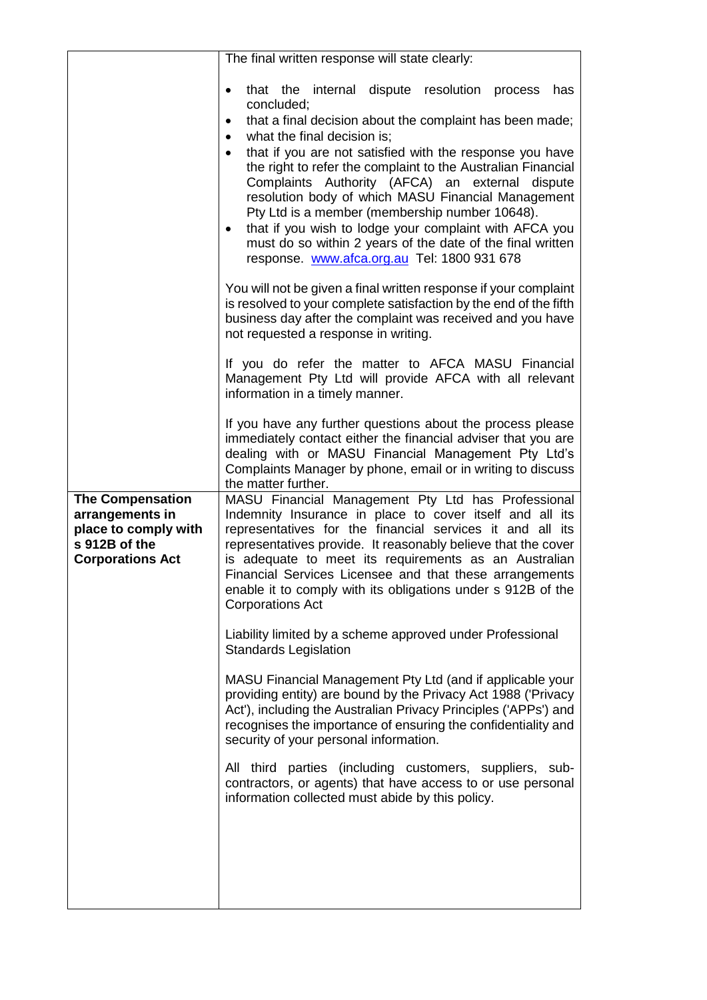|                                                                                                                | The final written response will state clearly:                                                                                                                                                                                                                                                                                                                                                                                                                                                                                                                                                                                                                                                                                                                                                                                                                                                                                                                                                                                                                                                                                                                                                                                                                                                        |
|----------------------------------------------------------------------------------------------------------------|-------------------------------------------------------------------------------------------------------------------------------------------------------------------------------------------------------------------------------------------------------------------------------------------------------------------------------------------------------------------------------------------------------------------------------------------------------------------------------------------------------------------------------------------------------------------------------------------------------------------------------------------------------------------------------------------------------------------------------------------------------------------------------------------------------------------------------------------------------------------------------------------------------------------------------------------------------------------------------------------------------------------------------------------------------------------------------------------------------------------------------------------------------------------------------------------------------------------------------------------------------------------------------------------------------|
|                                                                                                                | that the internal dispute resolution<br>process<br>has<br>concluded;<br>that a final decision about the complaint has been made;<br>٠<br>what the final decision is;<br>$\bullet$<br>that if you are not satisfied with the response you have<br>the right to refer the complaint to the Australian Financial<br>Complaints Authority (AFCA) an external dispute<br>resolution body of which MASU Financial Management<br>Pty Ltd is a member (membership number 10648).<br>that if you wish to lodge your complaint with AFCA you<br>must do so within 2 years of the date of the final written<br>response. www.afca.org.au Tel: 1800 931 678<br>You will not be given a final written response if your complaint<br>is resolved to your complete satisfaction by the end of the fifth<br>business day after the complaint was received and you have<br>not requested a response in writing.<br>If you do refer the matter to AFCA MASU Financial<br>Management Pty Ltd will provide AFCA with all relevant<br>information in a timely manner.<br>If you have any further questions about the process please<br>immediately contact either the financial adviser that you are<br>dealing with or MASU Financial Management Pty Ltd's<br>Complaints Manager by phone, email or in writing to discuss |
| <b>The Compensation</b><br>arrangements in<br>place to comply with<br>s 912B of the<br><b>Corporations Act</b> | the matter further.<br>MASU Financial Management Pty Ltd has Professional<br>Indemnity Insurance in place to cover itself and all its<br>representatives for the financial services it and all its<br>representatives provide. It reasonably believe that the cover<br>is adequate to meet its requirements as an Australian<br>Financial Services Licensee and that these arrangements<br>enable it to comply with its obligations under s 912B of the<br><b>Corporations Act</b><br>Liability limited by a scheme approved under Professional<br><b>Standards Legislation</b><br>MASU Financial Management Pty Ltd (and if applicable your<br>providing entity) are bound by the Privacy Act 1988 ('Privacy<br>Act'), including the Australian Privacy Principles ('APPs') and<br>recognises the importance of ensuring the confidentiality and<br>security of your personal information.<br>All third parties (including customers, suppliers, sub-<br>contractors, or agents) that have access to or use personal<br>information collected must abide by this policy.                                                                                                                                                                                                                             |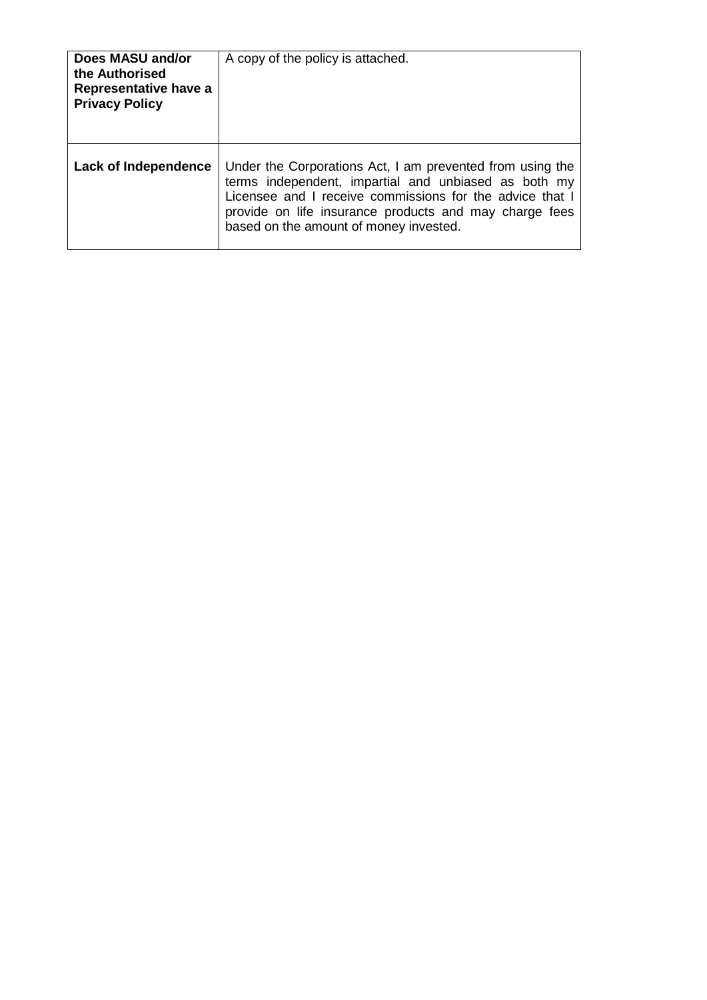| Does MASU and/or<br>the Authorised<br>Representative have a<br><b>Privacy Policy</b> | A copy of the policy is attached.                                                                                                                                                                                                                                                 |
|--------------------------------------------------------------------------------------|-----------------------------------------------------------------------------------------------------------------------------------------------------------------------------------------------------------------------------------------------------------------------------------|
| Lack of Independence                                                                 | Under the Corporations Act, I am prevented from using the<br>terms independent, impartial and unbiased as both my<br>Licensee and I receive commissions for the advice that I<br>provide on life insurance products and may charge fees<br>based on the amount of money invested. |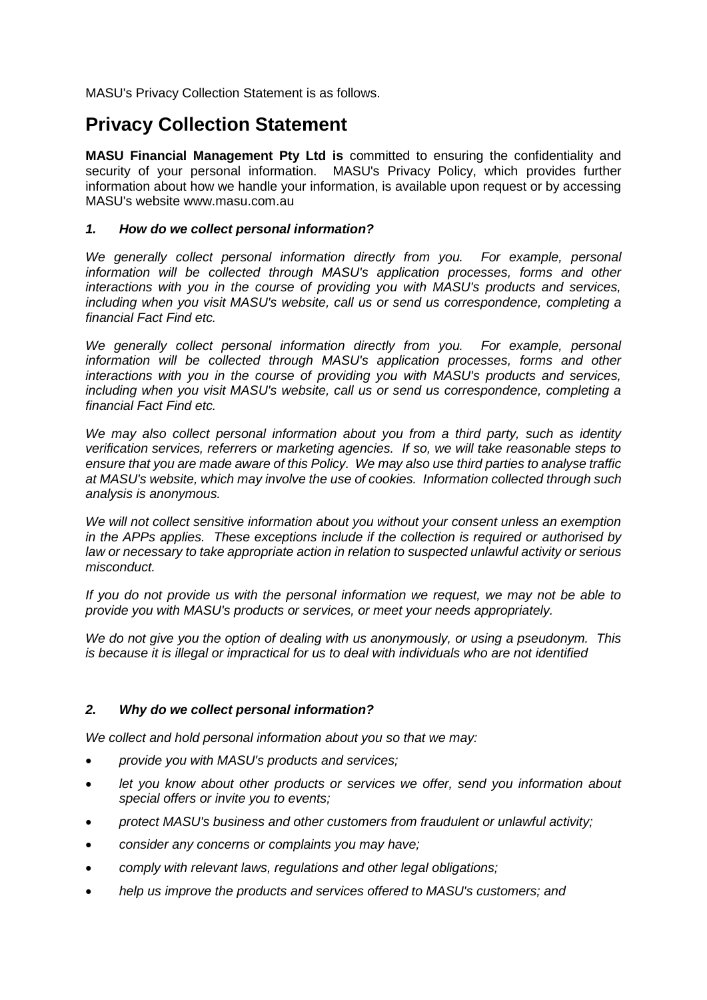MASU's Privacy Collection Statement is as follows.

# **Privacy Collection Statement**

**MASU Financial Management Pty Ltd is** committed to ensuring the confidentiality and security of your personal information. MASU's Privacy Policy, which provides further information about how we handle your information, is available upon request or by accessing MASU's website www.masu.com.au

## *1. How do we collect personal information?*

We generally collect personal information directly from you. For example, personal *information will be collected through MASU's application processes, forms and other interactions with you in the course of providing you with MASU's products and services, including when you visit MASU's website, call us or send us correspondence, completing a financial Fact Find etc.*

We generally collect personal information directly from you. For example, personal information will be collected through MASU's application processes, forms and other *interactions with you in the course of providing you with MASU's products and services, including when you visit MASU's website, call us or send us correspondence, completing a financial Fact Find etc.*

*We may also collect personal information about you from a third party, such as identity verification services, referrers or marketing agencies. If so, we will take reasonable steps to ensure that you are made aware of this Policy. We may also use third parties to analyse traffic at MASU's website, which may involve the use of cookies. Information collected through such analysis is anonymous.*

*We will not collect sensitive information about you without your consent unless an exemption in the APPs applies. These exceptions include if the collection is required or authorised by law or necessary to take appropriate action in relation to suspected unlawful activity or serious misconduct.*

*If you do not provide us with the personal information we request, we may not be able to provide you with MASU's products or services, or meet your needs appropriately.*

*We do not give you the option of dealing with us anonymously, or using a pseudonym. This is because it is illegal or impractical for us to deal with individuals who are not identified*

# *2. Why do we collect personal information?*

*We collect and hold personal information about you so that we may:*

- *provide you with MASU's products and services;*
- *let you know about other products or services we offer, send you information about special offers or invite you to events;*
- *protect MASU's business and other customers from fraudulent or unlawful activity;*
- *consider any concerns or complaints you may have;*
- *comply with relevant laws, regulations and other legal obligations;*
- *help us improve the products and services offered to MASU's customers; and*